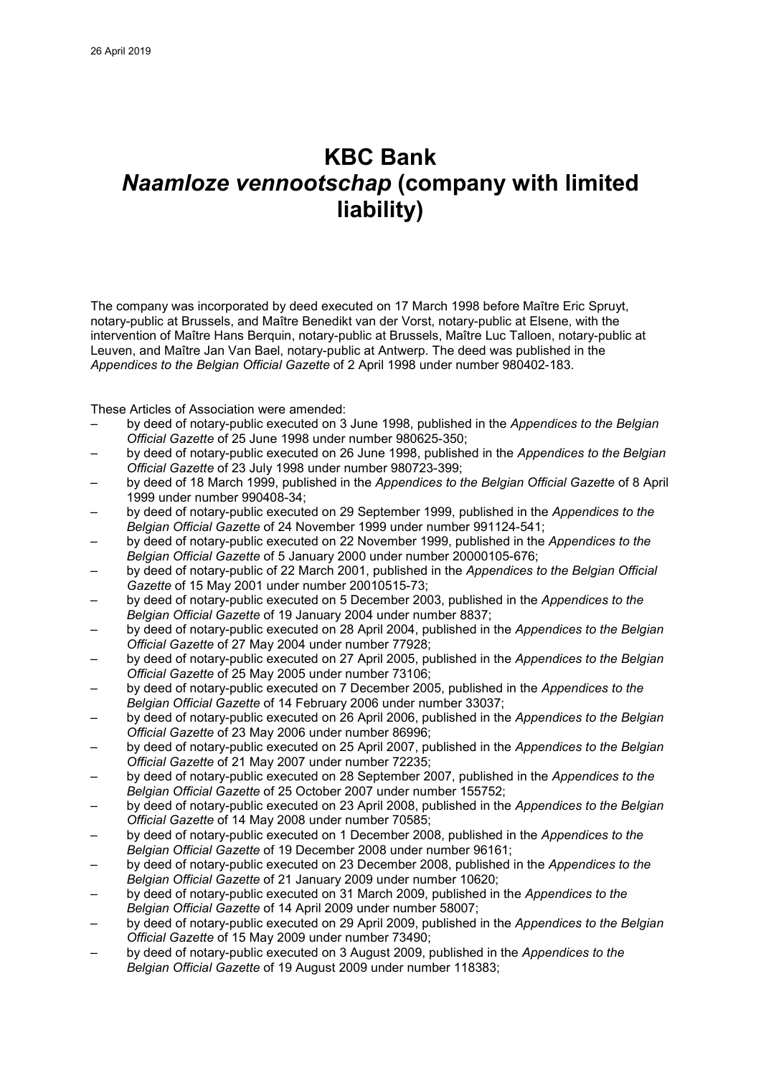# **KBC Bank** *Naamloze vennootschap* **(company with limited liability)**

The company was incorporated by deed executed on 17 March 1998 before Maître Eric Spruyt, notary-public at Brussels, and Maître Benedikt van der Vorst, notary-public at Elsene, with the intervention of Maître Hans Berquin, notary-public at Brussels, Maître Luc Talloen, notary-public at Leuven, and Maître Jan Van Bael, notary-public at Antwerp. The deed was published in the *Appendices to the Belgian Official Gazette* of 2 April 1998 under number 980402-183.

These Articles of Association were amended:

- by deed of notary-public executed on 3 June 1998, published in the *Appendices to the Belgian Official Gazette* of 25 June 1998 under number 980625-350;
- by deed of notary-public executed on 26 June 1998, published in the *Appendices to the Belgian Official Gazette* of 23 July 1998 under number 980723-399;
- by deed of 18 March 1999, published in the *Appendices to the Belgian Official Gazette* of 8 April 1999 under number 990408-34;
- by deed of notary-public executed on 29 September 1999, published in the *Appendices to the Belgian Official Gazette* of 24 November 1999 under number 991124-541;
- by deed of notary-public executed on 22 November 1999, published in the *Appendices to the Belgian Official Gazette* of 5 January 2000 under number 20000105-676;
- by deed of notary-public of 22 March 2001, published in the *Appendices to the Belgian Official Gazette* of 15 May 2001 under number 20010515-73;
- by deed of notary-public executed on 5 December 2003, published in the *Appendices to the Belgian Official Gazette* of 19 January 2004 under number 8837;
- by deed of notary-public executed on 28 April 2004, published in the *Appendices to the Belgian Official Gazette* of 27 May 2004 under number 77928;
- by deed of notary-public executed on 27 April 2005, published in the *Appendices to the Belgian Official Gazette* of 25 May 2005 under number 73106;
- by deed of notary-public executed on 7 December 2005, published in the *Appendices to the Belgian Official Gazette* of 14 February 2006 under number 33037;
- by deed of notary-public executed on 26 April 2006, published in the *Appendices to the Belgian Official Gazette* of 23 May 2006 under number 86996;
- by deed of notary-public executed on 25 April 2007, published in the *Appendices to the Belgian Official Gazette* of 21 May 2007 under number 72235;
- by deed of notary-public executed on 28 September 2007, published in the *Appendices to the Belgian Official Gazette* of 25 October 2007 under number 155752;
- by deed of notary-public executed on 23 April 2008, published in the *Appendices to the Belgian Official Gazette* of 14 May 2008 under number 70585;
- by deed of notary-public executed on 1 December 2008, published in the *Appendices to the Belgian Official Gazette* of 19 December 2008 under number 96161;
- by deed of notary-public executed on 23 December 2008, published in the *Appendices to the Belgian Official Gazette* of 21 January 2009 under number 10620;
- by deed of notary-public executed on 31 March 2009, published in the *Appendices to the Belgian Official Gazette* of 14 April 2009 under number 58007;
- by deed of notary-public executed on 29 April 2009, published in the *Appendices to the Belgian Official Gazette* of 15 May 2009 under number 73490;
- by deed of notary-public executed on 3 August 2009, published in the *Appendices to the Belgian Official Gazette* of 19 August 2009 under number 118383;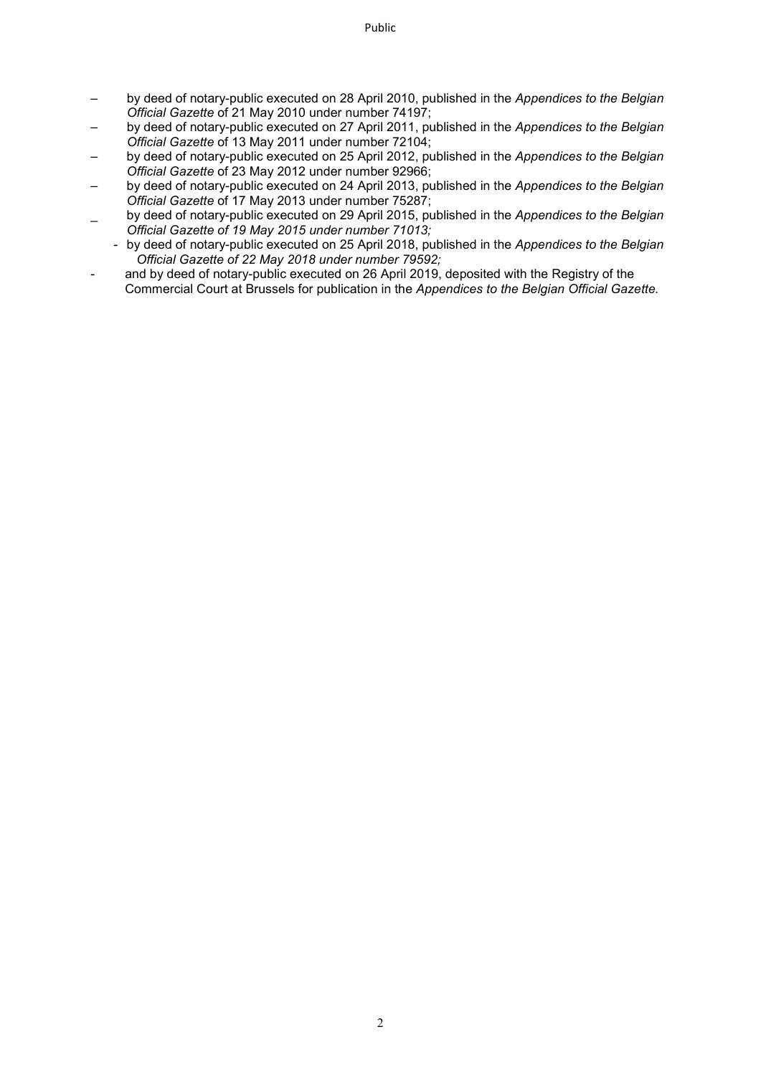- by deed of notary-public executed on 28 April 2010, published in the *Appendices to the Belgian Official Gazette* of 21 May 2010 under number 74197;
- by deed of notary-public executed on 27 April 2011, published in the *Appendices to the Belgian Official Gazette* of 13 May 2011 under number 72104;
- by deed of notary-public executed on 25 April 2012, published in the *Appendices to the Belgian Official Gazette* of 23 May 2012 under number 92966;
- by deed of notary-public executed on 24 April 2013, published in the *Appendices to the Belgian Official Gazette* of 17 May 2013 under number 75287;
- \_ by deed of notary-public executed on 29 April 2015, published in the *Appendices to the Belgian Official Gazette of 19 May 2015 under number 71013;*
- by deed of notary-public executed on 25 April 2018, published in the *Appendices to the Belgian Official Gazette of 22 May 2018 under number 79592;*
- and by deed of notary-public executed on 26 April 2019, deposited with the Registry of the Commercial Court at Brussels for publication in the *Appendices to the Belgian Official Gazette.*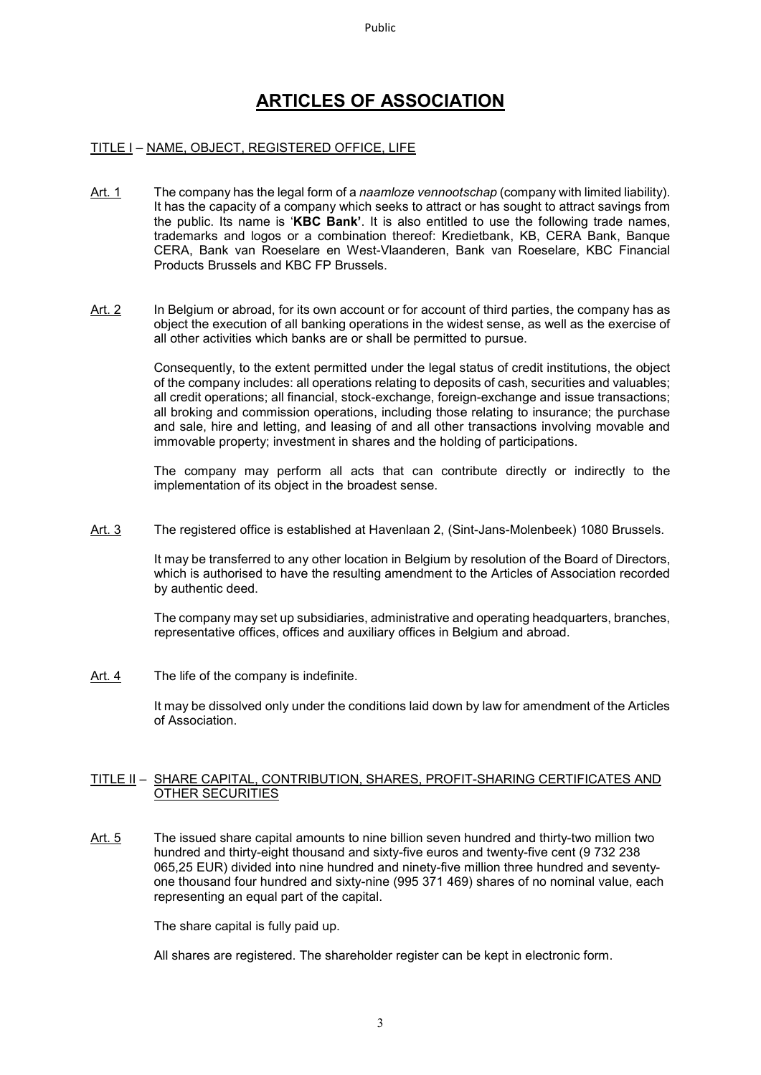# **ARTICLES OF ASSOCIATION**

# TITLE I – NAME, OBJECT, REGISTERED OFFICE, LIFE

- Art. 1 The company has the legal form of a *naamloze vennootschap* (company with limited liability). It has the capacity of a company which seeks to attract or has sought to attract savings from the public. Its name is '**KBC Bank'**. It is also entitled to use the following trade names, trademarks and logos or a combination thereof: Kredietbank, KB, CERA Bank, Banque CERA, Bank van Roeselare en West-Vlaanderen, Bank van Roeselare, KBC Financial Products Brussels and KBC FP Brussels.
- Art. 2 In Belgium or abroad, for its own account or for account of third parties, the company has as object the execution of all banking operations in the widest sense, as well as the exercise of all other activities which banks are or shall be permitted to pursue.

Consequently, to the extent permitted under the legal status of credit institutions, the object of the company includes: all operations relating to deposits of cash, securities and valuables; all credit operations; all financial, stock-exchange, foreign-exchange and issue transactions; all broking and commission operations, including those relating to insurance; the purchase and sale, hire and letting, and leasing of and all other transactions involving movable and immovable property; investment in shares and the holding of participations.

The company may perform all acts that can contribute directly or indirectly to the implementation of its object in the broadest sense.

Art. 3 The registered office is established at Havenlaan 2, (Sint-Jans-Molenbeek) 1080 Brussels.

It may be transferred to any other location in Belgium by resolution of the Board of Directors, which is authorised to have the resulting amendment to the Articles of Association recorded by authentic deed.

The company may set up subsidiaries, administrative and operating headquarters, branches, representative offices, offices and auxiliary offices in Belgium and abroad.

Art. 4 The life of the company is indefinite.

It may be dissolved only under the conditions laid down by law for amendment of the Articles of Association.

#### TITLE II – SHARE CAPITAL, CONTRIBUTION, SHARES, PROFIT-SHARING CERTIFICATES AND OTHER SECURITIES

Art. 5 The issued share capital amounts to nine billion seven hundred and thirty-two million two hundred and thirty-eight thousand and sixty-five euros and twenty-five cent (9 732 238 065,25 EUR) divided into nine hundred and ninety-five million three hundred and seventyone thousand four hundred and sixty-nine (995 371 469) shares of no nominal value, each representing an equal part of the capital.

The share capital is fully paid up.

All shares are registered. The shareholder register can be kept in electronic form.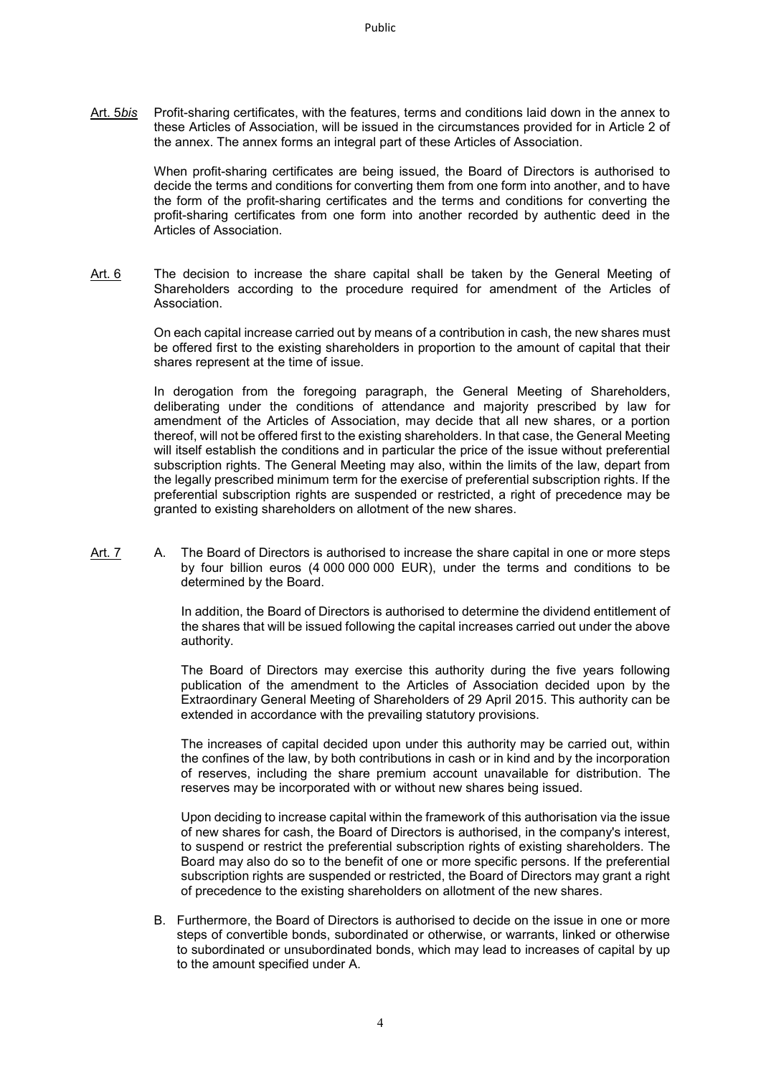Art. 5*bis* Profit-sharing certificates, with the features, terms and conditions laid down in the annex to these Articles of Association, will be issued in the circumstances provided for in Article 2 of the annex. The annex forms an integral part of these Articles of Association.

> When profit-sharing certificates are being issued, the Board of Directors is authorised to decide the terms and conditions for converting them from one form into another, and to have the form of the profit-sharing certificates and the terms and conditions for converting the profit-sharing certificates from one form into another recorded by authentic deed in the Articles of Association.

Art. 6 The decision to increase the share capital shall be taken by the General Meeting of Shareholders according to the procedure required for amendment of the Articles of Association.

> On each capital increase carried out by means of a contribution in cash, the new shares must be offered first to the existing shareholders in proportion to the amount of capital that their shares represent at the time of issue.

> In derogation from the foregoing paragraph, the General Meeting of Shareholders, deliberating under the conditions of attendance and majority prescribed by law for amendment of the Articles of Association, may decide that all new shares, or a portion thereof, will not be offered first to the existing shareholders. In that case, the General Meeting will itself establish the conditions and in particular the price of the issue without preferential subscription rights. The General Meeting may also, within the limits of the law, depart from the legally prescribed minimum term for the exercise of preferential subscription rights. If the preferential subscription rights are suspended or restricted, a right of precedence may be granted to existing shareholders on allotment of the new shares.

Art. 7 A. The Board of Directors is authorised to increase the share capital in one or more steps by four billion euros (4 000 000 000 EUR), under the terms and conditions to be determined by the Board.

> In addition, the Board of Directors is authorised to determine the dividend entitlement of the shares that will be issued following the capital increases carried out under the above authority.

> The Board of Directors may exercise this authority during the five years following publication of the amendment to the Articles of Association decided upon by the Extraordinary General Meeting of Shareholders of 29 April 2015. This authority can be extended in accordance with the prevailing statutory provisions.

> The increases of capital decided upon under this authority may be carried out, within the confines of the law, by both contributions in cash or in kind and by the incorporation of reserves, including the share premium account unavailable for distribution. The reserves may be incorporated with or without new shares being issued.

> Upon deciding to increase capital within the framework of this authorisation via the issue of new shares for cash, the Board of Directors is authorised, in the company's interest, to suspend or restrict the preferential subscription rights of existing shareholders. The Board may also do so to the benefit of one or more specific persons. If the preferential subscription rights are suspended or restricted, the Board of Directors may grant a right of precedence to the existing shareholders on allotment of the new shares.

B. Furthermore, the Board of Directors is authorised to decide on the issue in one or more steps of convertible bonds, subordinated or otherwise, or warrants, linked or otherwise to subordinated or unsubordinated bonds, which may lead to increases of capital by up to the amount specified under A.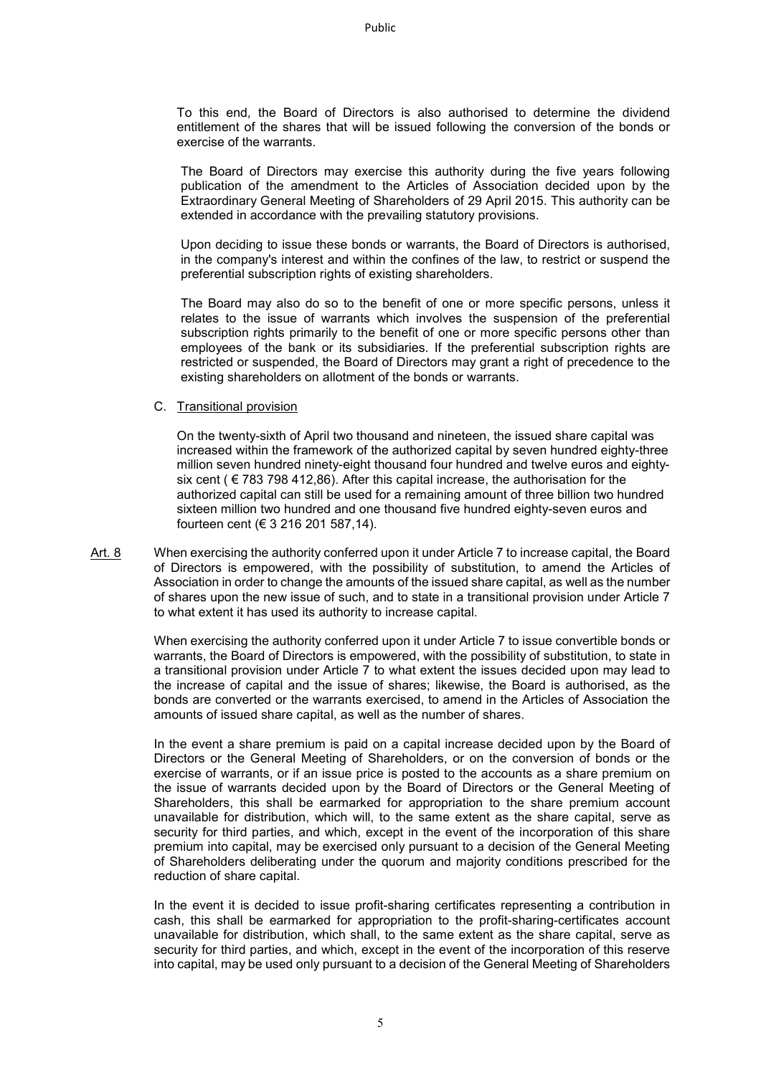Public

To this end, the Board of Directors is also authorised to determine the dividend entitlement of the shares that will be issued following the conversion of the bonds or exercise of the warrants.

The Board of Directors may exercise this authority during the five years following publication of the amendment to the Articles of Association decided upon by the Extraordinary General Meeting of Shareholders of 29 April 2015. This authority can be extended in accordance with the prevailing statutory provisions.

Upon deciding to issue these bonds or warrants, the Board of Directors is authorised, in the company's interest and within the confines of the law, to restrict or suspend the preferential subscription rights of existing shareholders.

The Board may also do so to the benefit of one or more specific persons, unless it relates to the issue of warrants which involves the suspension of the preferential subscription rights primarily to the benefit of one or more specific persons other than employees of the bank or its subsidiaries. If the preferential subscription rights are restricted or suspended, the Board of Directors may grant a right of precedence to the existing shareholders on allotment of the bonds or warrants.

#### C. Transitional provision

On the twenty-sixth of April two thousand and nineteen, the issued share capital was increased within the framework of the authorized capital by seven hundred eighty-three million seven hundred ninety-eight thousand four hundred and twelve euros and eightysix cent ( $\epsilon$  783 798 412,86). After this capital increase, the authorisation for the authorized capital can still be used for a remaining amount of three billion two hundred sixteen million two hundred and one thousand five hundred eighty-seven euros and fourteen cent (€ 3 216 201 587,14).

Art. 8 When exercising the authority conferred upon it under Article 7 to increase capital, the Board of Directors is empowered, with the possibility of substitution, to amend the Articles of Association in order to change the amounts of the issued share capital, as well as the number of shares upon the new issue of such, and to state in a transitional provision under Article 7 to what extent it has used its authority to increase capital.

> When exercising the authority conferred upon it under Article 7 to issue convertible bonds or warrants, the Board of Directors is empowered, with the possibility of substitution, to state in a transitional provision under Article 7 to what extent the issues decided upon may lead to the increase of capital and the issue of shares; likewise, the Board is authorised, as the bonds are converted or the warrants exercised, to amend in the Articles of Association the amounts of issued share capital, as well as the number of shares.

> In the event a share premium is paid on a capital increase decided upon by the Board of Directors or the General Meeting of Shareholders, or on the conversion of bonds or the exercise of warrants, or if an issue price is posted to the accounts as a share premium on the issue of warrants decided upon by the Board of Directors or the General Meeting of Shareholders, this shall be earmarked for appropriation to the share premium account unavailable for distribution, which will, to the same extent as the share capital, serve as security for third parties, and which, except in the event of the incorporation of this share premium into capital, may be exercised only pursuant to a decision of the General Meeting of Shareholders deliberating under the quorum and majority conditions prescribed for the reduction of share capital.

> In the event it is decided to issue profit-sharing certificates representing a contribution in cash, this shall be earmarked for appropriation to the profit-sharing-certificates account unavailable for distribution, which shall, to the same extent as the share capital, serve as security for third parties, and which, except in the event of the incorporation of this reserve into capital, may be used only pursuant to a decision of the General Meeting of Shareholders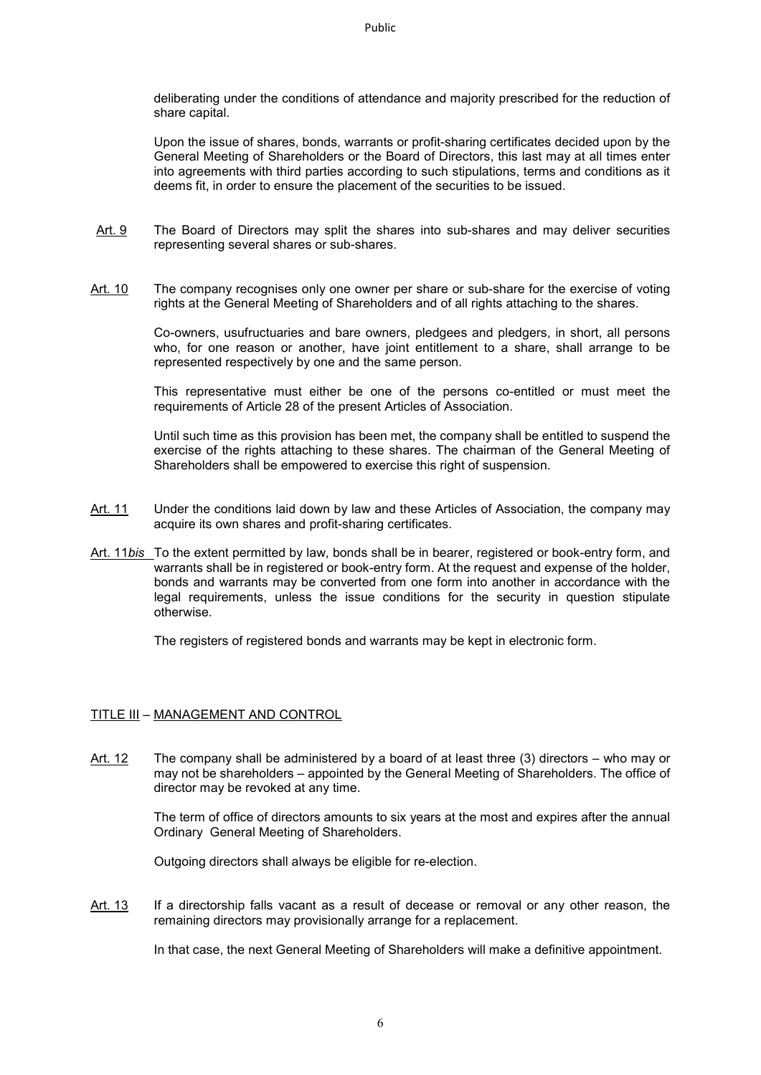deliberating under the conditions of attendance and majority prescribed for the reduction of share capital.

Upon the issue of shares, bonds, warrants or profit-sharing certificates decided upon by the General Meeting of Shareholders or the Board of Directors, this last may at all times enter into agreements with third parties according to such stipulations, terms and conditions as it deems fit, in order to ensure the placement of the securities to be issued.

- Art. 9 The Board of Directors may split the shares into sub-shares and may deliver securities representing several shares or sub-shares.
- Art. 10 The company recognises only one owner per share or sub-share for the exercise of voting rights at the General Meeting of Shareholders and of all rights attaching to the shares.

Co-owners, usufructuaries and bare owners, pledgees and pledgers, in short, all persons who, for one reason or another, have joint entitlement to a share, shall arrange to be represented respectively by one and the same person.

This representative must either be one of the persons co-entitled or must meet the requirements of Article 28 of the present Articles of Association.

Until such time as this provision has been met, the company shall be entitled to suspend the exercise of the rights attaching to these shares. The chairman of the General Meeting of Shareholders shall be empowered to exercise this right of suspension.

- Art. 11 Under the conditions laid down by law and these Articles of Association, the company may acquire its own shares and profit-sharing certificates.
- Art. 11*bis* To the extent permitted by law, bonds shall be in bearer, registered or book-entry form, and warrants shall be in registered or book-entry form. At the request and expense of the holder, bonds and warrants may be converted from one form into another in accordance with the legal requirements, unless the issue conditions for the security in question stipulate otherwise.

The registers of registered bonds and warrants may be kept in electronic form.

#### TITLE III – MANAGEMENT AND CONTROL

Art. 12 The company shall be administered by a board of at least three (3) directors – who may or may not be shareholders – appointed by the General Meeting of Shareholders. The office of director may be revoked at any time.

> The term of office of directors amounts to six years at the most and expires after the annual Ordinary General Meeting of Shareholders.

Outgoing directors shall always be eligible for re-election.

Art. 13 If a directorship falls vacant as a result of decease or removal or any other reason, the remaining directors may provisionally arrange for a replacement.

In that case, the next General Meeting of Shareholders will make a definitive appointment.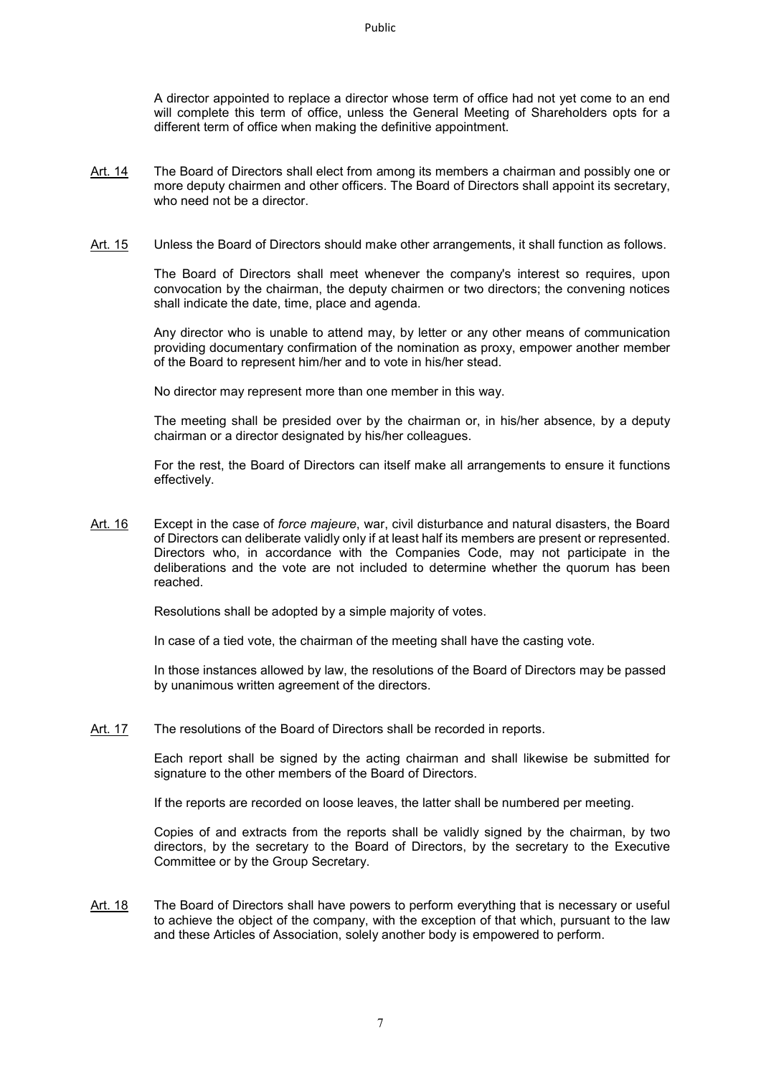A director appointed to replace a director whose term of office had not yet come to an end will complete this term of office, unless the General Meeting of Shareholders opts for a different term of office when making the definitive appointment.

- Art. 14 The Board of Directors shall elect from among its members a chairman and possibly one or more deputy chairmen and other officers. The Board of Directors shall appoint its secretary, who need not be a director.
- Art. 15 Unless the Board of Directors should make other arrangements, it shall function as follows.

The Board of Directors shall meet whenever the company's interest so requires, upon convocation by the chairman, the deputy chairmen or two directors; the convening notices shall indicate the date, time, place and agenda.

Any director who is unable to attend may, by letter or any other means of communication providing documentary confirmation of the nomination as proxy, empower another member of the Board to represent him/her and to vote in his/her stead.

No director may represent more than one member in this way.

The meeting shall be presided over by the chairman or, in his/her absence, by a deputy chairman or a director designated by his/her colleagues.

For the rest, the Board of Directors can itself make all arrangements to ensure it functions effectively.

Art. 16 Except in the case of *force majeure*, war, civil disturbance and natural disasters, the Board of Directors can deliberate validly only if at least half its members are present or represented. Directors who, in accordance with the Companies Code, may not participate in the deliberations and the vote are not included to determine whether the quorum has been reached.

Resolutions shall be adopted by a simple majority of votes.

In case of a tied vote, the chairman of the meeting shall have the casting vote.

In those instances allowed by law, the resolutions of the Board of Directors may be passed by unanimous written agreement of the directors.

Art. 17 The resolutions of the Board of Directors shall be recorded in reports.

Each report shall be signed by the acting chairman and shall likewise be submitted for signature to the other members of the Board of Directors.

If the reports are recorded on loose leaves, the latter shall be numbered per meeting.

Copies of and extracts from the reports shall be validly signed by the chairman, by two directors, by the secretary to the Board of Directors, by the secretary to the Executive Committee or by the Group Secretary.

Art. 18 The Board of Directors shall have powers to perform everything that is necessary or useful to achieve the object of the company, with the exception of that which, pursuant to the law and these Articles of Association, solely another body is empowered to perform.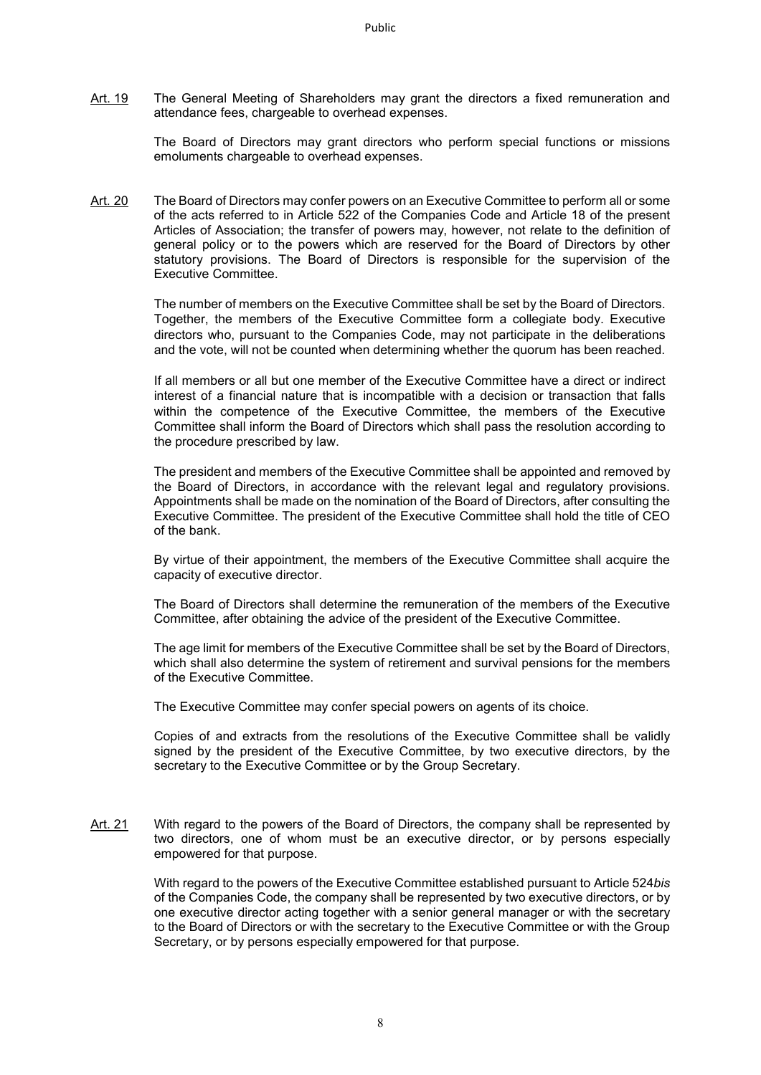Art. 19 The General Meeting of Shareholders may grant the directors a fixed remuneration and attendance fees, chargeable to overhead expenses.

> The Board of Directors may grant directors who perform special functions or missions emoluments chargeable to overhead expenses.

Art. 20 The Board of Directors may confer powers on an Executive Committee to perform all or some of the acts referred to in Article 522 of the Companies Code and Article 18 of the present Articles of Association; the transfer of powers may, however, not relate to the definition of general policy or to the powers which are reserved for the Board of Directors by other statutory provisions. The Board of Directors is responsible for the supervision of the Executive Committee.

> The number of members on the Executive Committee shall be set by the Board of Directors. Together, the members of the Executive Committee form a collegiate body. Executive directors who, pursuant to the Companies Code, may not participate in the deliberations and the vote, will not be counted when determining whether the quorum has been reached.

> If all members or all but one member of the Executive Committee have a direct or indirect interest of a financial nature that is incompatible with a decision or transaction that falls within the competence of the Executive Committee, the members of the Executive Committee shall inform the Board of Directors which shall pass the resolution according to the procedure prescribed by law.

The president and members of the Executive Committee shall be appointed and removed by the Board of Directors, in accordance with the relevant legal and regulatory provisions. Appointments shall be made on the nomination of the Board of Directors, after consulting the Executive Committee. The president of the Executive Committee shall hold the title of CEO of the bank.

By virtue of their appointment, the members of the Executive Committee shall acquire the capacity of executive director.

The Board of Directors shall determine the remuneration of the members of the Executive Committee, after obtaining the advice of the president of the Executive Committee.

The age limit for members of the Executive Committee shall be set by the Board of Directors, which shall also determine the system of retirement and survival pensions for the members of the Executive Committee.

The Executive Committee may confer special powers on agents of its choice.

Copies of and extracts from the resolutions of the Executive Committee shall be validly signed by the president of the Executive Committee, by two executive directors, by the secretary to the Executive Committee or by the Group Secretary.

Art. 21 With regard to the powers of the Board of Directors, the company shall be represented by two directors, one of whom must be an executive director, or by persons especially empowered for that purpose.

> With regard to the powers of the Executive Committee established pursuant to Article 524*bis* of the Companies Code, the company shall be represented by two executive directors, or by one executive director acting together with a senior general manager or with the secretary to the Board of Directors or with the secretary to the Executive Committee or with the Group Secretary, or by persons especially empowered for that purpose.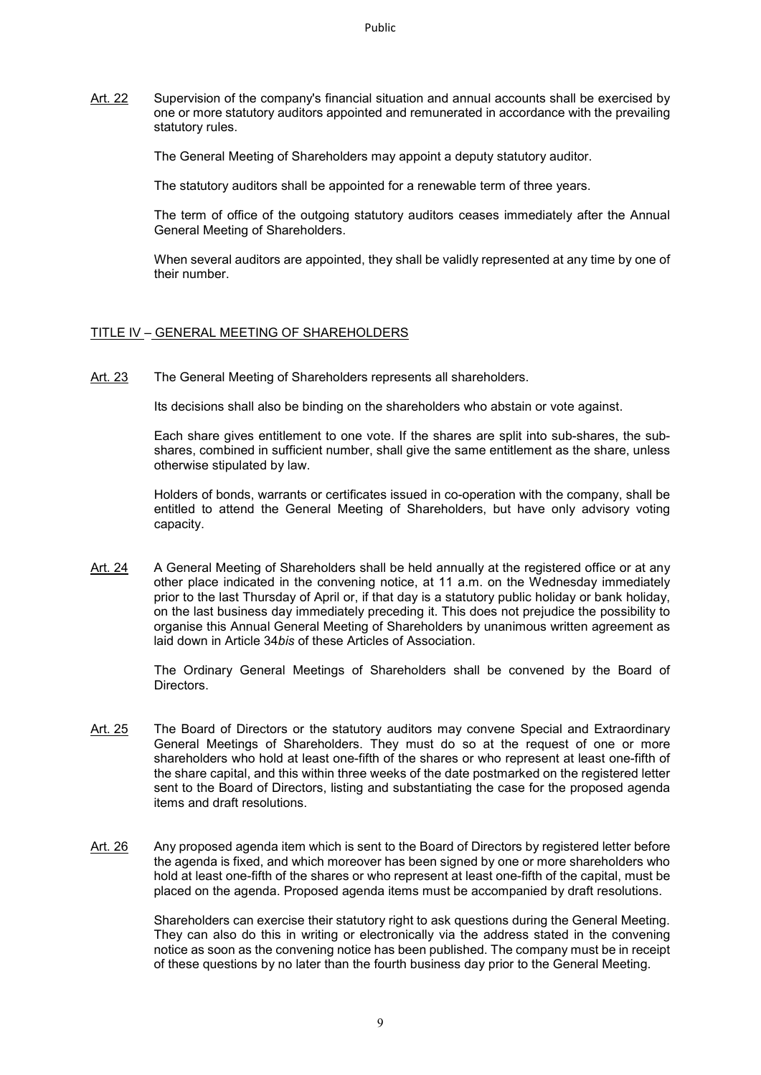Art. 22 Supervision of the company's financial situation and annual accounts shall be exercised by one or more statutory auditors appointed and remunerated in accordance with the prevailing statutory rules.

The General Meeting of Shareholders may appoint a deputy statutory auditor.

The statutory auditors shall be appointed for a renewable term of three years.

The term of office of the outgoing statutory auditors ceases immediately after the Annual General Meeting of Shareholders.

When several auditors are appointed, they shall be validly represented at any time by one of their number.

# TITLE IV – GENERAL MEETING OF SHAREHOLDERS

Art. 23 The General Meeting of Shareholders represents all shareholders.

Its decisions shall also be binding on the shareholders who abstain or vote against.

Each share gives entitlement to one vote. If the shares are split into sub-shares, the subshares, combined in sufficient number, shall give the same entitlement as the share, unless otherwise stipulated by law.

Holders of bonds, warrants or certificates issued in co-operation with the company, shall be entitled to attend the General Meeting of Shareholders, but have only advisory voting capacity.

Art. 24 A General Meeting of Shareholders shall be held annually at the registered office or at any other place indicated in the convening notice, at 11 a.m. on the Wednesday immediately prior to the last Thursday of April or, if that day is a statutory public holiday or bank holiday, on the last business day immediately preceding it. This does not prejudice the possibility to organise this Annual General Meeting of Shareholders by unanimous written agreement as laid down in Article 34*bis* of these Articles of Association.

> The Ordinary General Meetings of Shareholders shall be convened by the Board of Directors.

- Art. 25 The Board of Directors or the statutory auditors may convene Special and Extraordinary General Meetings of Shareholders. They must do so at the request of one or more shareholders who hold at least one-fifth of the shares or who represent at least one-fifth of the share capital, and this within three weeks of the date postmarked on the registered letter sent to the Board of Directors, listing and substantiating the case for the proposed agenda items and draft resolutions.
- Art. 26 Any proposed agenda item which is sent to the Board of Directors by registered letter before the agenda is fixed, and which moreover has been signed by one or more shareholders who hold at least one-fifth of the shares or who represent at least one-fifth of the capital, must be placed on the agenda. Proposed agenda items must be accompanied by draft resolutions.

Shareholders can exercise their statutory right to ask questions during the General Meeting. They can also do this in writing or electronically via the address stated in the convening notice as soon as the convening notice has been published. The company must be in receipt of these questions by no later than the fourth business day prior to the General Meeting.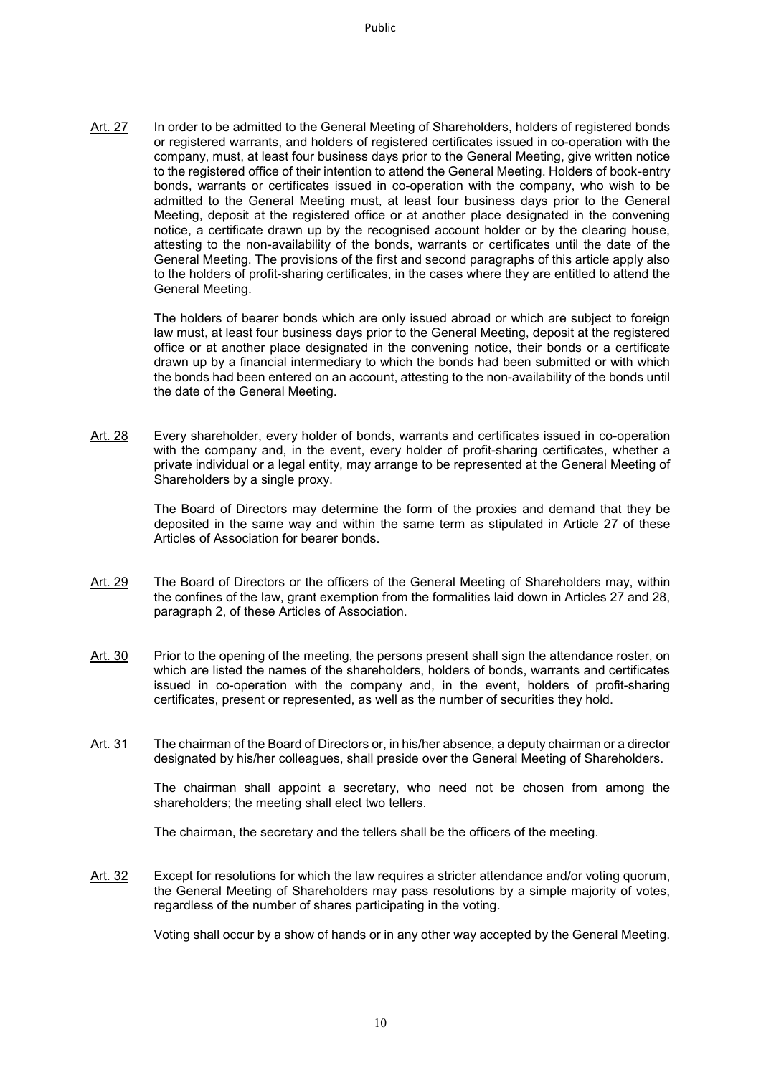Art. 27 In order to be admitted to the General Meeting of Shareholders, holders of registered bonds or registered warrants, and holders of registered certificates issued in co-operation with the company, must, at least four business days prior to the General Meeting, give written notice to the registered office of their intention to attend the General Meeting. Holders of book-entry bonds, warrants or certificates issued in co-operation with the company, who wish to be admitted to the General Meeting must, at least four business days prior to the General Meeting, deposit at the registered office or at another place designated in the convening notice, a certificate drawn up by the recognised account holder or by the clearing house, attesting to the non-availability of the bonds, warrants or certificates until the date of the General Meeting. The provisions of the first and second paragraphs of this article apply also to the holders of profit-sharing certificates, in the cases where they are entitled to attend the General Meeting.

> The holders of bearer bonds which are only issued abroad or which are subject to foreign law must, at least four business days prior to the General Meeting, deposit at the registered office or at another place designated in the convening notice, their bonds or a certificate drawn up by a financial intermediary to which the bonds had been submitted or with which the bonds had been entered on an account, attesting to the non-availability of the bonds until the date of the General Meeting.

Art. 28 Every shareholder, every holder of bonds, warrants and certificates issued in co-operation with the company and, in the event, every holder of profit-sharing certificates, whether a private individual or a legal entity, may arrange to be represented at the General Meeting of Shareholders by a single proxy.

> The Board of Directors may determine the form of the proxies and demand that they be deposited in the same way and within the same term as stipulated in Article 27 of these Articles of Association for bearer bonds.

- Art. 29 The Board of Directors or the officers of the General Meeting of Shareholders may, within the confines of the law, grant exemption from the formalities laid down in Articles 27 and 28, paragraph 2, of these Articles of Association.
- Art. 30 Prior to the opening of the meeting, the persons present shall sign the attendance roster, on which are listed the names of the shareholders, holders of bonds, warrants and certificates issued in co-operation with the company and, in the event, holders of profit-sharing certificates, present or represented, as well as the number of securities they hold.
- Art. 31 The chairman of the Board of Directors or, in his/her absence, a deputy chairman or a director designated by his/her colleagues, shall preside over the General Meeting of Shareholders.

The chairman shall appoint a secretary, who need not be chosen from among the shareholders; the meeting shall elect two tellers.

The chairman, the secretary and the tellers shall be the officers of the meeting.

Art. 32 Except for resolutions for which the law requires a stricter attendance and/or voting quorum, the General Meeting of Shareholders may pass resolutions by a simple majority of votes, regardless of the number of shares participating in the voting.

Voting shall occur by a show of hands or in any other way accepted by the General Meeting.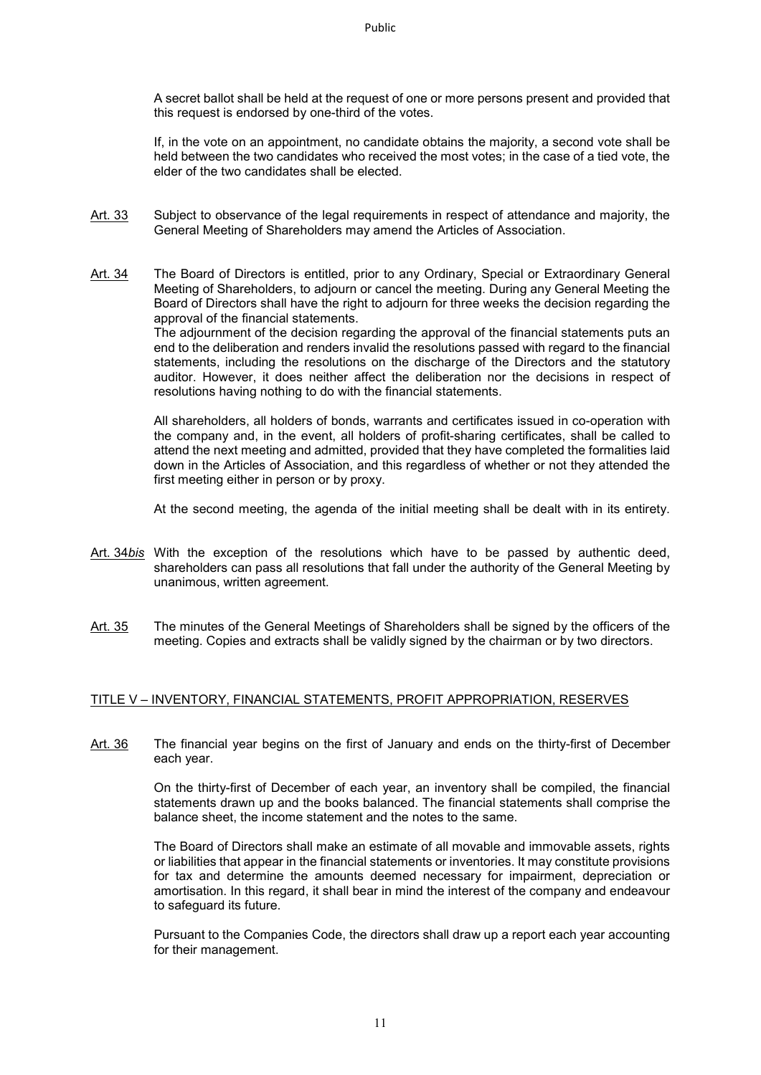A secret ballot shall be held at the request of one or more persons present and provided that this request is endorsed by one-third of the votes.

If, in the vote on an appointment, no candidate obtains the majority, a second vote shall be held between the two candidates who received the most votes; in the case of a tied vote, the elder of the two candidates shall be elected.

Art. 33 Subject to observance of the legal requirements in respect of attendance and majority, the General Meeting of Shareholders may amend the Articles of Association.

Art. 34 The Board of Directors is entitled, prior to any Ordinary, Special or Extraordinary General Meeting of Shareholders, to adjourn or cancel the meeting. During any General Meeting the Board of Directors shall have the right to adjourn for three weeks the decision regarding the approval of the financial statements.

> The adjournment of the decision regarding the approval of the financial statements puts an end to the deliberation and renders invalid the resolutions passed with regard to the financial statements, including the resolutions on the discharge of the Directors and the statutory auditor. However, it does neither affect the deliberation nor the decisions in respect of resolutions having nothing to do with the financial statements.

> All shareholders, all holders of bonds, warrants and certificates issued in co-operation with the company and, in the event, all holders of profit-sharing certificates, shall be called to attend the next meeting and admitted, provided that they have completed the formalities laid down in the Articles of Association, and this regardless of whether or not they attended the first meeting either in person or by proxy.

> At the second meeting, the agenda of the initial meeting shall be dealt with in its entirety.

- Art. 34*bis* With the exception of the resolutions which have to be passed by authentic deed, shareholders can pass all resolutions that fall under the authority of the General Meeting by unanimous, written agreement.
- Art. 35 The minutes of the General Meetings of Shareholders shall be signed by the officers of the meeting. Copies and extracts shall be validly signed by the chairman or by two directors.

## TITLE V – INVENTORY, FINANCIAL STATEMENTS, PROFIT APPROPRIATION, RESERVES

Art. 36 The financial year begins on the first of January and ends on the thirty-first of December each year.

> On the thirty-first of December of each year, an inventory shall be compiled, the financial statements drawn up and the books balanced. The financial statements shall comprise the balance sheet, the income statement and the notes to the same.

> The Board of Directors shall make an estimate of all movable and immovable assets, rights or liabilities that appear in the financial statements or inventories. It may constitute provisions for tax and determine the amounts deemed necessary for impairment, depreciation or amortisation. In this regard, it shall bear in mind the interest of the company and endeavour to safeguard its future.

> Pursuant to the Companies Code, the directors shall draw up a report each year accounting for their management.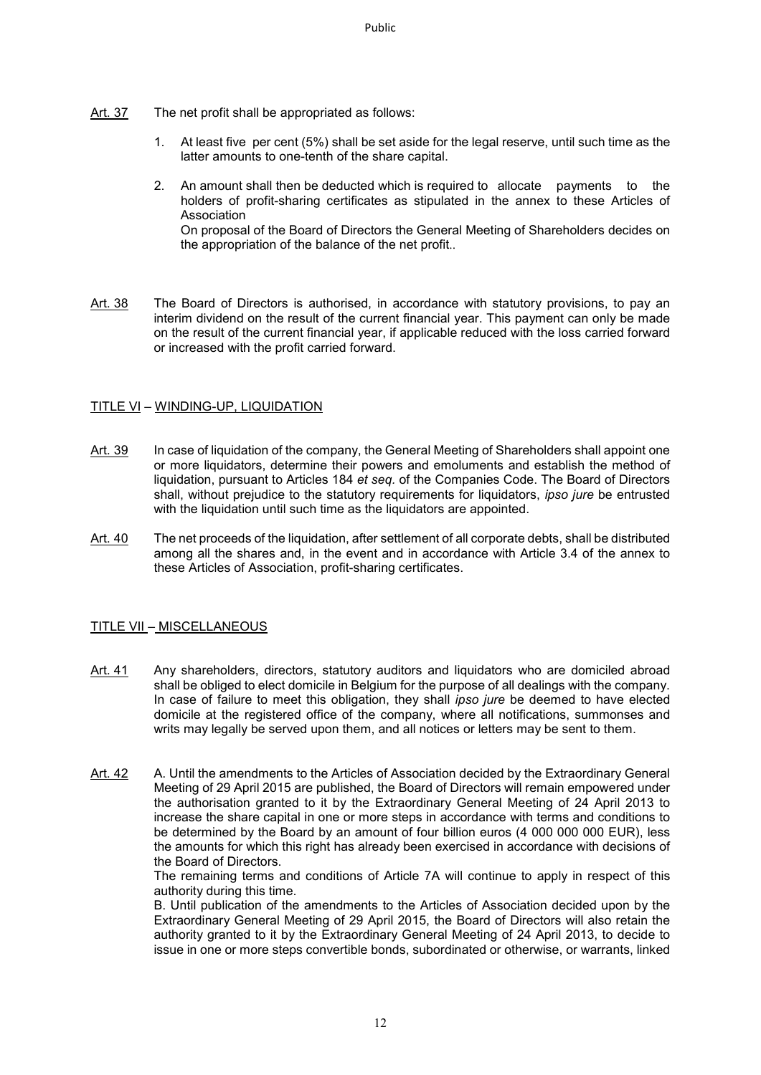- Art. 37 The net profit shall be appropriated as follows:
	- 1. At least five per cent (5%) shall be set aside for the legal reserve, until such time as the latter amounts to one-tenth of the share capital.
	- 2. An amount shall then be deducted which is required to allocate payments to the holders of profit-sharing certificates as stipulated in the annex to these Articles of Association On proposal of the Board of Directors the General Meeting of Shareholders decides on the appropriation of the balance of the net profit..
- Art. 38 The Board of Directors is authorised, in accordance with statutory provisions, to pay an interim dividend on the result of the current financial year. This payment can only be made on the result of the current financial year, if applicable reduced with the loss carried forward or increased with the profit carried forward.

#### TITLE VI – WINDING-UP, LIQUIDATION

- Art. 39 In case of liquidation of the company, the General Meeting of Shareholders shall appoint one or more liquidators, determine their powers and emoluments and establish the method of liquidation, pursuant to Articles 184 *et seq.* of the Companies Code. The Board of Directors shall, without prejudice to the statutory requirements for liquidators, *ipso jure* be entrusted with the liquidation until such time as the liquidators are appointed.
- Art. 40 The net proceeds of the liquidation, after settlement of all corporate debts, shall be distributed among all the shares and, in the event and in accordance with Article 3.4 of the annex to these Articles of Association, profit-sharing certificates.

## TITLE VII – MISCELLANEOUS

- Art. 41 Any shareholders, directors, statutory auditors and liquidators who are domiciled abroad shall be obliged to elect domicile in Belgium for the purpose of all dealings with the company. In case of failure to meet this obligation, they shall *ipso jure* be deemed to have elected domicile at the registered office of the company, where all notifications, summonses and writs may legally be served upon them, and all notices or letters may be sent to them.
- Art. 42 A. Until the amendments to the Articles of Association decided by the Extraordinary General Meeting of 29 April 2015 are published, the Board of Directors will remain empowered under the authorisation granted to it by the Extraordinary General Meeting of 24 April 2013 to increase the share capital in one or more steps in accordance with terms and conditions to be determined by the Board by an amount of four billion euros (4 000 000 000 EUR), less the amounts for which this right has already been exercised in accordance with decisions of the Board of Directors.

The remaining terms and conditions of Article 7A will continue to apply in respect of this authority during this time.

B. Until publication of the amendments to the Articles of Association decided upon by the Extraordinary General Meeting of 29 April 2015, the Board of Directors will also retain the authority granted to it by the Extraordinary General Meeting of 24 April 2013, to decide to issue in one or more steps convertible bonds, subordinated or otherwise, or warrants, linked